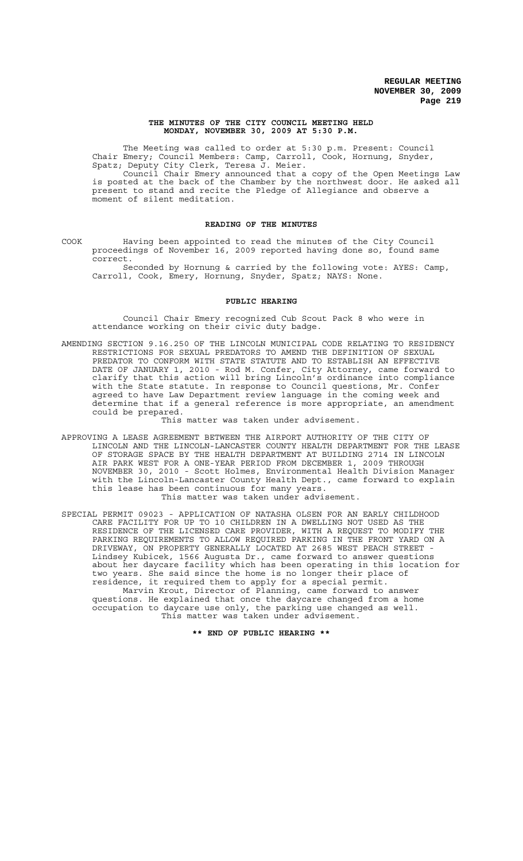### **THE MINUTES OF THE CITY COUNCIL MEETING HELD MONDAY, NOVEMBER 30, 2009 AT 5:30 P.M.**

The Meeting was called to order at 5:30 p.m. Present: Council Chair Emery; Council Members: Camp, Carroll, Cook, Hornung, Snyder, Spatz; Deputy City Clerk, Teresa J. Meier.

Council Chair Emery announced that a copy of the Open Meetings Law is posted at the back of the Chamber by the northwest door. He asked all present to stand and recite the Pledge of Allegiance and observe a moment of silent meditation.

## **READING OF THE MINUTES**

COOK Having been appointed to read the minutes of the City Council proceedings of November 16, 2009 reported having done so, found same correct.

Seconded by Hornung & carried by the following vote: AYES: Camp, Carroll, Cook, Emery, Hornung, Snyder, Spatz; NAYS: None.

### **PUBLIC HEARING**

Council Chair Emery recognized Cub Scout Pack 8 who were in attendance working on their civic duty badge.

AMENDING SECTION 9.16.250 OF THE LINCOLN MUNICIPAL CODE RELATING TO RESIDENCY RESTRICTIONS FOR SEXUAL PREDATORS TO AMEND THE DEFINITION OF SEXUAL PREDATOR TO CONFORM WITH STATE STATUTE AND TO ESTABLISH AN EFFECTIVE DATE OF JANUARY 1, 2010 - Rod M. Confer, City Attorney, came forward to clarify that this action will bring Lincoln's ordinance into compliance with the State statute. In response to Council questions, Mr. Confer agreed to have Law Department review language in the coming week and determine that if a general reference is more appropriate, an amendment could be prepared.

This matter was taken under advisement.

APPROVING A LEASE AGREEMENT BETWEEN THE AIRPORT AUTHORITY OF THE CITY OF LINCOLN AND THE LINCOLN-LANCASTER COUNTY HEALTH DEPARTMENT FOR THE LEASE OF STORAGE SPACE BY THE HEALTH DEPARTMENT AT BUILDING 2714 IN LINCOLN AIR PARK WEST FOR A ONE-YEAR PERIOD FROM DECEMBER 1, 2009 THROUGH NOVEMBER 30, 2010 - Scott Holmes, Environmental Health Division Manager with the Lincoln-Lancaster County Health Dept., came forward to explain this lease has been continuous for many years.

This matter was taken under advisement.

SPECIAL PERMIT 09023 - APPLICATION OF NATASHA OLSEN FOR AN EARLY CHILDHOOD CARE FACILITY FOR UP TO 10 CHILDREN IN A DWELLING NOT USED AS THE RESIDENCE OF THE LICENSED CARE PROVIDER, WITH A REQUEST TO MODIFY THE PARKING REQUIREMENTS TO ALLOW REQUIRED PARKING IN THE FRONT YARD ON A DRIVEWAY, ON PROPERTY GENERALLY LOCATED AT 2685 WEST PEACH STREET - Lindsey Kubicek, 1566 Augusta Dr., came forward to answer questions about her daycare facility which has been operating in this location for two years. She said since the home is no longer their place of residence, it required them to apply for a special permit. Marvin Krout, Director of Planning, came forward to answer

questions. He explained that once the daycare changed from a home occupation to daycare use only, the parking use changed as well. This matter was taken under advisement.

**\*\* END OF PUBLIC HEARING \*\***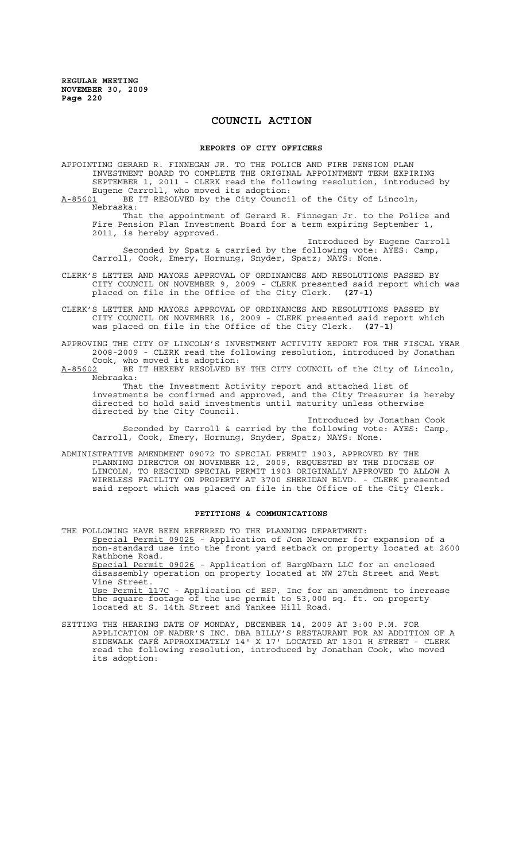# **COUNCIL ACTION**

#### **REPORTS OF CITY OFFICERS**

APPOINTING GERARD R. FINNEGAN JR. TO THE POLICE AND FIRE PENSION PLAN INVESTMENT BOARD TO COMPLETE THE ORIGINAL APPOINTMENT TERM EXPIRING SEPTEMBER 1, 2011 - CLERK read the following resolution, introduced by Eugene Carroll, who moved its adoption:

A-85601 BE IT RESOLVED by the City Council of the City of Lincoln, Nebraska:

That the appointment of Gerard R. Finnegan Jr. to the Police and Fire Pension Plan Investment Board for a term expiring September 1, 2011, is hereby approved.

Introduced by Eugene Carroll Seconded by Spatz & carried by the following vote: AYES: Camp, Carroll, Cook, Emery, Hornung, Snyder, Spatz; NAYS: None.

- CLERK'S LETTER AND MAYORS APPROVAL OF ORDINANCES AND RESOLUTIONS PASSED BY CITY COUNCIL ON NOVEMBER 9, 2009 - CLERK presented said report which was placed on file in the Office of the City Clerk. **(27-1)**
- CLERK'S LETTER AND MAYORS APPROVAL OF ORDINANCES AND RESOLUTIONS PASSED BY CITY COUNCIL ON NOVEMBER 16, 2009 - CLERK presented said report which was placed on file in the Office of the City Clerk. **(27-1)**

APPROVING THE CITY OF LINCOLN'S INVESTMENT ACTIVITY REPORT FOR THE FISCAL YEAR 2008-2009 - CLERK read the following resolution, introduced by Jonathan Cook, who moved its adoption:

A-85602 BE IT HEREBY RESOLVED BY THE CITY COUNCIL of the City of Lincoln, Nebraska:

That the Investment Activity report and attached list of investments be confirmed and approved, and the City Treasurer is hereby directed to hold said investments until maturity unless otherwise directed by the City Council.

Introduced by Jonathan Cook Seconded by Carroll & carried by the following vote: AYES: Camp, Carroll, Cook, Emery, Hornung, Snyder, Spatz; NAYS: None.

ADMINISTRATIVE AMENDMENT 09072 TO SPECIAL PERMIT 1903, APPROVED BY THE PLANNING DIRECTOR ON NOVEMBER 12, 2009, REQUESTED BY THE DIOCESE OF LINCOLN, TO RESCIND SPECIAL PERMIT 1903 ORIGINALLY APPROVED TO ALLOW A WIRELESS FACILITY ON PROPERTY AT 3700 SHERIDAN BLVD. - CLERK presented said report which was placed on file in the Office of the City Clerk.

### **PETITIONS & COMMUNICATIONS**

THE FOLLOWING HAVE BEEN REFERRED TO THE PLANNING DEPARTMENT: Special Permit 09025 - Application of Jon Newcomer for expansion of a non-standard use into the front yard setback on property located at 2600 Rathbone Road. Special Permit 09026 - Application of BargNbarn LLC for an enclosed disassembly operation on property located at NW 27th Street and West Vine Street. Use Permit 117C - Application of ESP, Inc for an amendment to increase the square footage of the use permit to 53,000 sq. ft. on property located at S. 14th Street and Yankee Hill Road.

SETTING THE HEARING DATE OF MONDAY, DECEMBER 14, 2009 AT 3:00 P.M. FOR APPLICATION OF NADER'S INC. DBA BILLY'S RESTAURANT FOR AN ADDITION OF A SIDEWALK CAFÉ APPROXIMATELY 14' X 17' LOCATED AT 1301 H STREET - CLERK read the following resolution, introduced by Jonathan Cook, who moved its adoption: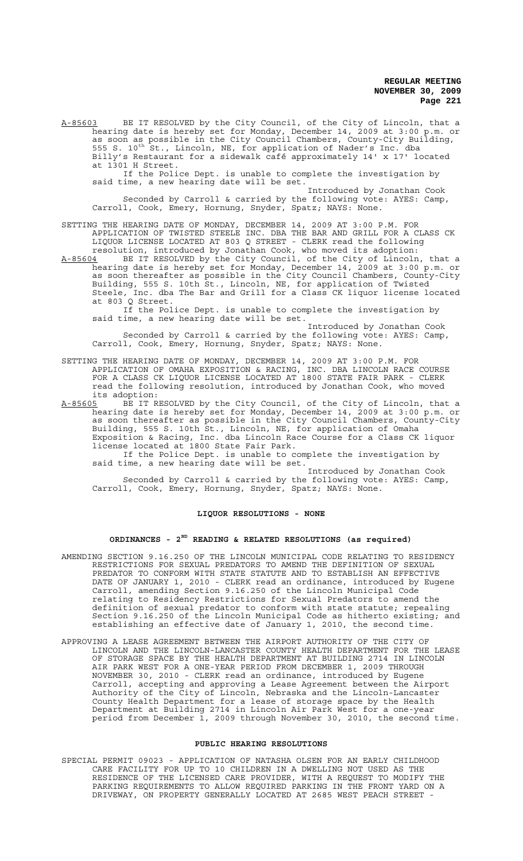A-85603 BE IT RESOLVED by the City Council, of the City of Lincoln, that a hearing date is hereby set for Monday, December 14, 2009 at 3:00 p.m. or hearing date is hereby set for Monday, December 14, 2009 at 3:00 p.m. or as soon as possible in the City Council Chambers, County-City Building, 555 S. 10<sup>th</sup> St., Lincoln, NE, for application of Nader's Inc. dba Billy's Restaurant for a sidewalk café approximately 14' x 17' located at 1301 H Street.

If the Police Dept. is unable to complete the investigation by said time, a new hearing date will be set.

Introduced by Jonathan Cook Seconded by Carroll & carried by the following vote: AYES: Camp, Carroll, Cook, Emery, Hornung, Snyder, Spatz; NAYS: None.

SETTING THE HEARING DATE OF MONDAY, DECEMBER 14, 2009 AT 3:00 P.M. FOR APPLICATION OF TWISTED STEELE INC. DBA THE BAR AND GRILL FOR A CLASS CK LIQUOR LICENSE LOCATED AT 803 Q STREET - CLERK read the following resolution, introduced by Jonathan Cook, who moved its adoption:

A-85604 BE IT RESOLVED by the City Council, of the City of Lincoln, that a hearing date is hereby set for Monday, December 14, 2009 at 3:00 p.m. or as soon thereafter as possible in the City Council Chambers, County-City Building, 555 S. 10th St., Lincoln, NE, for application of Twisted Steele, Inc. dba The Bar and Grill for a Class CK liquor license located at 803 Q Street.

If the Police Dept. is unable to complete the investigation by said time, a new hearing date will be set.

Introduced by Jonathan Cook Seconded by Carroll & carried by the following vote: AYES: Camp, Carroll, Cook, Emery, Hornung, Snyder, Spatz; NAYS: None.

## SETTING THE HEARING DATE OF MONDAY, DECEMBER 14, 2009 AT 3:00 P.M. FOR APPLICATION OF OMAHA EXPOSITION & RACING, INC. DBA LINCOLN RACE COURSE FOR A CLASS CK LIQUOR LICENSE LOCATED AT 1800 STATE FAIR PARK - CLERK read the following resolution, introduced by Jonathan Cook, who moved its adoption:<br>A-85605 BE IT R

A-85605 BE IT RESOLVED by the City Council, of the City of Lincoln, that a hearing date is hereby set for Monday, December 14, 2009 at 3:00 p.m. or as soon thereafter as possible in the City Council Chambers, County-City Building, 555 S. 10th St., Lincoln, NE, for application of Omaha Exposition & Racing, Inc. dba Lincoln Race Course for a Class CK liquor license located at 1800 State Fair Park.

If the Police Dept. is unable to complete the investigation by said time, a new hearing date will be set.

Introduced by Jonathan Cook Seconded by Carroll & carried by the following vote: AYES: Camp, Carroll, Cook, Emery, Hornung, Snyder, Spatz; NAYS: None.

## **LIQUOR RESOLUTIONS - NONE**

### **ORDINANCES - 2ND READING & RELATED RESOLUTIONS (as required)**

- AMENDING SECTION 9.16.250 OF THE LINCOLN MUNICIPAL CODE RELATING TO RESIDENCY RESTRICTIONS FOR SEXUAL PREDATORS TO AMEND THE DEFINITION OF SEXUAL PREDATOR TO CONFORM WITH STATE STATUTE AND TO ESTABLISH AN EFFECTIVE DATE OF JANUARY 1, 2010 - CLERK read an ordinance, introduced by Eugene Carroll, amending Section 9.16.250 of the Lincoln Municipal Code relating to Residency Restrictions for Sexual Predators to amend the definition of sexual predator to conform with state statute; repealing Section 9.16.250 of the Lincoln Municipal Code as hitherto existing; and establishing an effective date of January 1, 2010, the second time.
- APPROVING A LEASE AGREEMENT BETWEEN THE AIRPORT AUTHORITY OF THE CITY OF LINCOLN AND THE LINCOLN-LANCASTER COUNTY HEALTH DEPARTMENT FOR THE LEASE OF STORAGE SPACE BY THE HEALTH DEPARTMENT AT BUILDING 2714 IN LINCOLN AIR PARK WEST FOR A ONE-YEAR PERIOD FROM DECEMBER 1, 2009 THROUGH NOVEMBER 30, 2010 - CLERK read an ordinance, introduced by Eugene Carroll, accepting and approving a Lease Agreement between the Airport Authority of the City of Lincoln, Nebraska and the Lincoln-Lancaster County Health Department for a lease of storage space by the Health Department at Building 2714 in Lincoln Air Park West for a one-year period from December 1, 2009 through November 30, 2010, the second time.

## **PUBLIC HEARING RESOLUTIONS**

SPECIAL PERMIT 09023 - APPLICATION OF NATASHA OLSEN FOR AN EARLY CHILDHOOD CARE FACILITY FOR UP TO 10 CHILDREN IN A DWELLING NOT USED AS THE RESIDENCE OF THE LICENSED CARE PROVIDER, WITH A REQUEST TO MODIFY THE PARKING REQUIREMENTS TO ALLOW REQUIRED PARKING IN THE FRONT YARD ON A DRIVEWAY, ON PROPERTY GENERALLY LOCATED AT 2685 WEST PEACH STREET -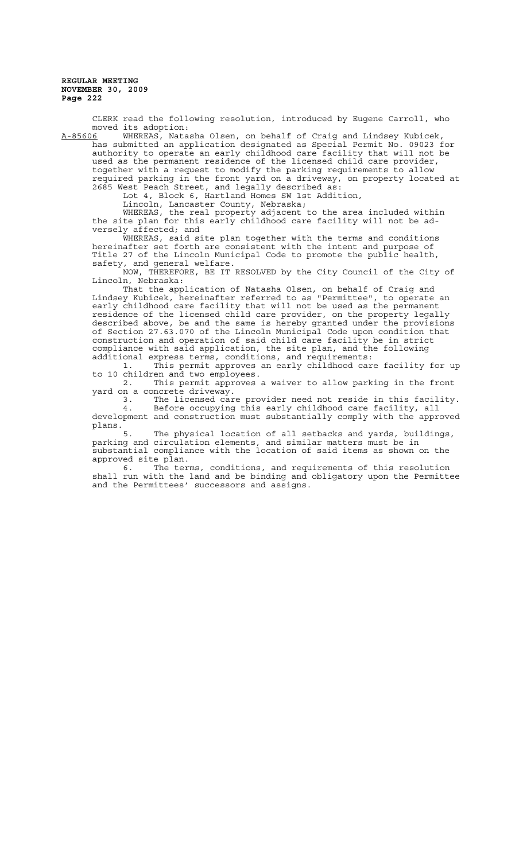CLERK read the following resolution, introduced by Eugene Carroll, who moved its adoption:<br><u>A-85606</u> WHEREAS, Nata

WHEREAS, Natasha Olsen, on behalf of Craig and Lindsey Kubicek, has submitted an application designated as Special Permit No. 09023 for authority to operate an early childhood care facility that will not be used as the permanent residence of the licensed child care provider, together with a request to modify the parking requirements to allow required parking in the front yard on a driveway, on property located at 2685 West Peach Street, and legally described as:

Lot 4, Block 6, Hartland Homes SW 1st Addition,

Lincoln, Lancaster County, Nebraska;

WHEREAS, the real property adjacent to the area included within WHEREAS, the real property adjacent to the area included withithe site plan for this early childhood care facility will not be adversely affected; and

WHEREAS, said site plan together with the terms and conditions hereinafter set forth are consistent with the intent and purpose of Title 27 of the Lincoln Municipal Code to promote the public health, safety, and general welfare.

NOW, THEREFORE, BE IT RESOLVED by the City Council of the City of Lincoln, Nebraska:

That the application of Natasha Olsen, on behalf of Craig and Lindsey Kubicek, hereinafter referred to as "Permittee", to operate an early childhood care facility that will not be used as the permanent residence of the licensed child care provider, on the property legally described above, be and the same is hereby granted under the provisions of Section 27.63.070 of the Lincoln Municipal Code upon condition that construction and operation of said child care facility be in strict compliance with said application, the site plan, and the following additional express terms, conditions, and requirements:

1. This permit approves an early childhood care facility for up to 10 children and two employees.

2. This permit approves a waiver to allow parking in the front yard on a concrete driveway.

3. The licensed care provider need not reside in this facility. 4. Before occupying this early childhood care facility, all

development and construction must substantially comply with the approved plans. The physical location of all setbacks and yards, buildings,

parking and circulation elements, and similar matters must be in substantial compliance with the location of said items as shown on the approved site plan.

6. The terms, conditions, and requirements of this resolution shall run with the land and be binding and obligatory upon the Permittee and the Permittees' successors and assigns.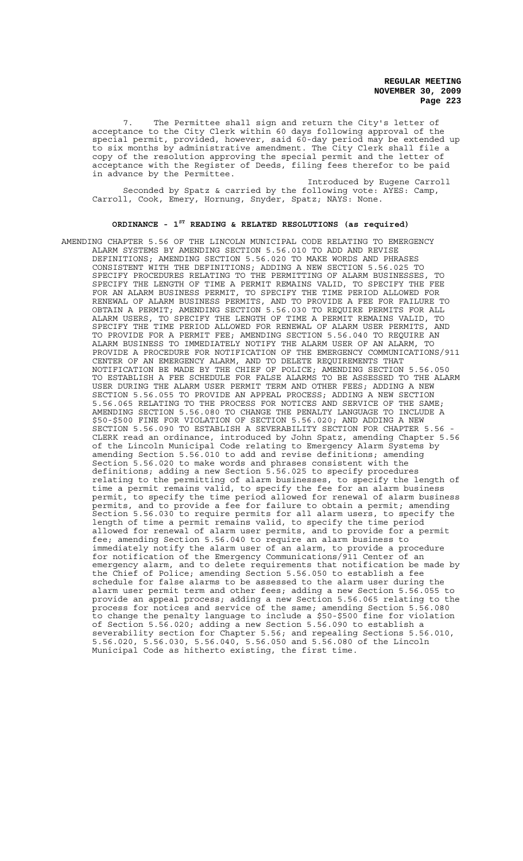The Permittee shall sign and return the City's letter of acceptance to the City Clerk within 60 days following approval of the special permit, provided, however, said 60-day period may be extended up to six months by administrative amendment. The City Clerk shall file a copy of the resolution approving the special permit and the letter of acceptance with the Register of Deeds, filing fees therefor to be paid in advance by the Permittee.

Introduced by Eugene Carroll Seconded by Spatz & carried by the following vote: AYES: Camp, Carroll, Cook, Emery, Hornung, Snyder, Spatz; NAYS: None.

# **ORDINANCE - 1ST READING & RELATED RESOLUTIONS (as required)**

AMENDING CHAPTER 5.56 OF THE LINCOLN MUNICIPAL CODE RELATING TO EMERGENCY ALARM SYSTEMS BY AMENDING SECTION 5.56.010 TO ADD AND REVISE DEFINITIONS; AMENDING SECTION 5.56.020 TO MAKE WORDS AND PHRASES CONSISTENT WITH THE DEFINITIONS; ADDING A NEW SECTION 5.56.025 TO SPECIFY PROCEDURES RELATING TO THE PERMITTING OF ALARM BUSINESSES, TO SPECIFY THE LENGTH OF TIME A PERMIT REMAINS VALID, TO SPECIFY THE FEE FOR AN ALARM BUSINESS PERMIT, TO SPECIFY THE TIME PERIOD ALLOWED FOR RENEWAL OF ALARM BUSINESS PERMITS, AND TO PROVIDE A FEE FOR FAILURE TO OBTAIN A PERMIT; AMENDING SECTION 5.56.030 TO REQUIRE PERMITS FOR ALL ALARM USERS, TO SPECIFY THE LENGTH OF TIME A PERMIT REMAINS VALID, TO<br>SPECIFY THE TIME PERIOD ALLOWED FOR RENEWAL OF ALARM USER PERMITS, AND SPECIFY THE TIME PERIOD ALLOWED FOR RENEWAL OF ALARM USER PERMITS, TO PROVIDE FOR A PERMIT FEE; AMENDING SECTION 5.56.040 TO REQUIRE AN ALARM BUSINESS TO IMMEDIATELY NOTIFY THE ALARM USER OF AN ALARM, TO PROVIDE A PROCEDURE FOR NOTIFICATION OF THE EMERGENCY COMMUNICATIONS/911 CENTER OF AN EMERGENCY ALARM, AND TO DELETE REQUIREMENTS THAT NOTIFICATION BE MADE BY THE CHIEF OF POLICE; AMENDING SECTION 5.56.050 TO ESTABLISH A FEE SCHEDULE FOR FALSE ALARMS TO BE ASSESSED TO THE ALARM USER DURING THE ALARM USER PERMIT TERM AND OTHER FEES; ADDING A NEW SECTION 5.56.055 TO PROVIDE AN APPEAL PROCESS; ADDING A NEW SECTION 5.56.065 RELATING TO THE PROCESS FOR NOTICES AND SERVICE OF THE SAME; AMENDING SECTION 5.56.080 TO CHANGE THE PENALTY LANGUAGE TO INCLUDE A \$50-\$500 FINE FOR VIOLATION OF SECTION 5.56.020; AND ADDING A NEW SECTION 5.56.090 TO ESTABLISH A SEVERABILITY SECTION FOR CHAPTER 5.56 -CLERK read an ordinance, introduced by John Spatz, amending Chapter 5.56 of the Lincoln Municipal Code relating to Emergency Alarm Systems by amending Section 5.56.010 to add and revise definitions; amending Section 5.56.020 to make words and phrases consistent with the definitions; adding a new Section 5.56.025 to specify procedures relating to the permitting of alarm businesses, to specify the length of time a permit remains valid, to specify the fee for an alarm business permit, to specify the time period allowed for renewal of alarm business permits, and to provide a fee for failure to obtain a permit; amending Section 5.56.030 to require permits for all alarm users, to specify the length of time a permit remains valid, to specify the time period allowed for renewal of alarm user permits, and to provide for a permit fee; amending Section 5.56.040 to require an alarm business to immediately notify the alarm user of an alarm, to provide a procedure for notification of the Emergency Communications/911 Center of an emergency alarm, and to delete requirements that notification be made by the Chief of Police; amending Section 5.56.050 to establish a fee schedule for false alarms to be assessed to the alarm user during the alarm user permit term and other fees; adding a new Section 5.56.055 to provide an appeal process; adding a new Section 5.56.065 relating to the process for notices and service of the same; amending Section 5.56.080 to change the penalty language to include a \$50-\$500 fine for violation of Section 5.56.020; adding a new Section 5.56.090 to establish a severability section for Chapter 5.56; and repealing Sections 5.56.010, 5.56.020, 5.56.030, 5.56.040, 5.56.050 and 5.56.080 of the Lincoln Municipal Code as hitherto existing, the first time.